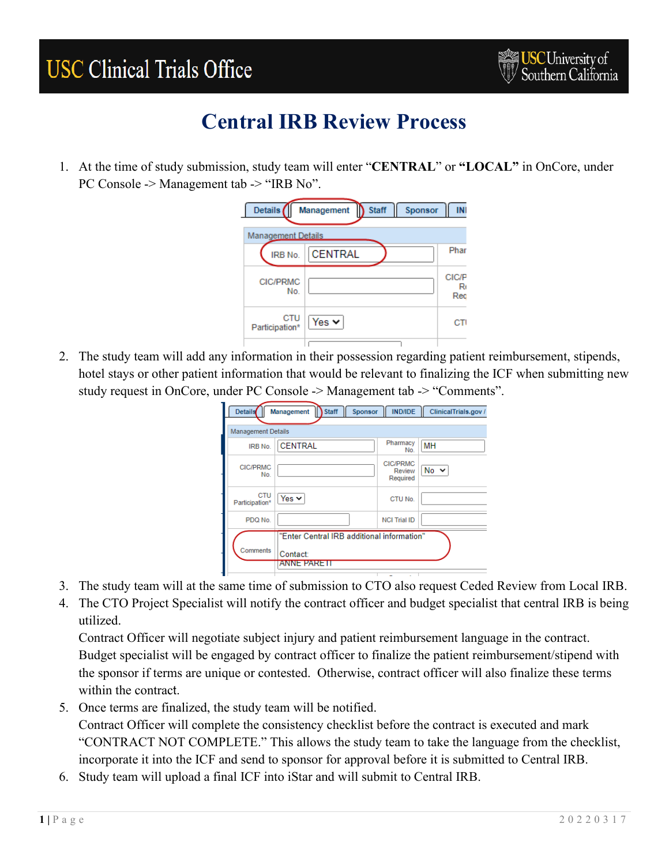# **USC Clinical Trials Office**



#### **Central IRB Review Process**

1. At the time of study submission, study team will enter "**CENTRAL**" or **"LOCAL"** in OnCore, under PC Console -> Management tab -> "IRB No".

| Details (                 | Management               | <b>Staff</b> | Sponsor | INI                      |
|---------------------------|--------------------------|--------------|---------|--------------------------|
| <b>Management Details</b> |                          |              |         |                          |
| IRB No.                   | <b>CENTRAL</b>           |              |         | Phar                     |
| <b>CIC/PRMC</b><br>No.    |                          |              |         | <b>CIC/P</b><br>R<br>Red |
| CTU<br>Participation*     | Yes $\blacktriangledown$ |              |         | CТ                       |
|                           |                          |              |         |                          |

2. The study team will add any information in their possession regarding patient reimbursement, stipends, hotel stays or other patient information that would be relevant to finalizing the ICF when submitting new study request in OnCore, under PC Console -> Management tab -> "Comments".

| <b>Details</b>  |                           | <b>Staff</b><br>Sponsor<br>Management      | <b>IND/IDE</b>                        | ClinicalTrials.gov / |
|-----------------|---------------------------|--------------------------------------------|---------------------------------------|----------------------|
|                 | <b>Management Details</b> |                                            |                                       |                      |
|                 | IRB No.                   | <b>CENTRAL</b>                             | Pharmacy<br>No.                       | MH                   |
| <b>CIC/PRMC</b> | No.                       |                                            | <b>CIC/PRMC</b><br>Review<br>Required | $No \sim$            |
| Participation*  | <b>CTU</b>                | Yes $\vee$                                 | CTU No.                               |                      |
|                 | PDQ No.                   |                                            | <b>NCI Trial ID</b>                   |                      |
|                 |                           | "Enter Central IRB additional information" |                                       |                      |
| Comments        |                           | Contact:                                   |                                       |                      |
|                 |                           | anne pare II                               |                                       |                      |

- 3. The study team will at the same time of submission to CTO also request Ceded Review from Local IRB.
- 4. The CTO Project Specialist will notify the contract officer and budget specialist that central IRB is being utilized.

Contract Officer will negotiate subject injury and patient reimbursement language in the contract. Budget specialist will be engaged by contract officer to finalize the patient reimbursement/stipend with the sponsor if terms are unique or contested. Otherwise, contract officer will also finalize these terms within the contract.

- 5. Once terms are finalized, the study team will be notified. Contract Officer will complete the consistency checklist before the contract is executed and mark "CONTRACT NOT COMPLETE." This allows the study team to take the language from the checklist, incorporate it into the ICF and send to sponsor for approval before it is submitted to Central IRB.
- 6. Study team will upload a final ICF into iStar and will submit to Central IRB.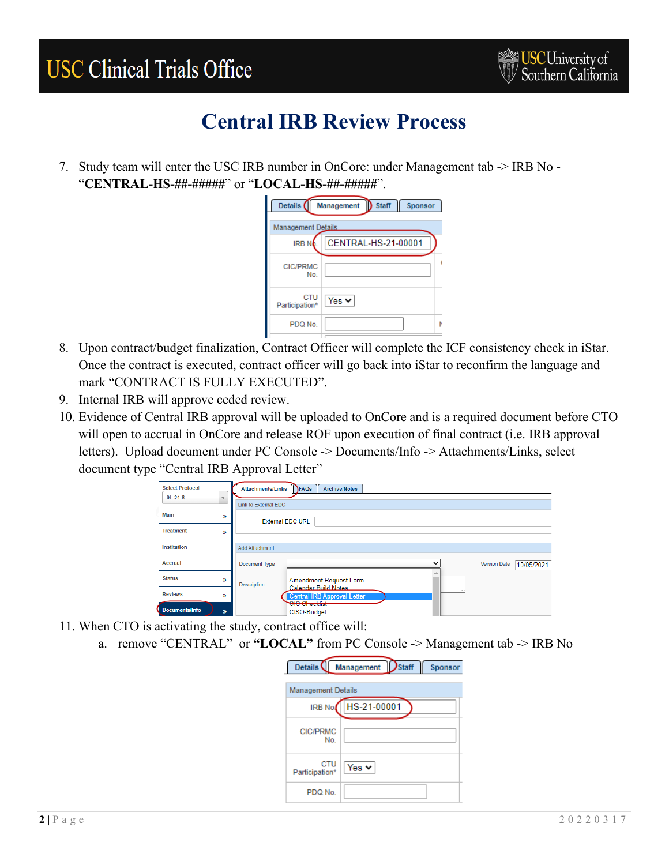## **USC Clinical Trials Office**



#### **Central IRB Review Process**

7. Study team will enter the USC IRB number in OnCore: under Management tab -> IRB No - "**CENTRAL-HS-##-#####**" or "**LOCAL-HS-##-#####**".

| Details (<br>Staff<br>Sponsor<br>Management |                     |  |  |  |
|---------------------------------------------|---------------------|--|--|--|
| <b>Management Details</b>                   |                     |  |  |  |
| <b>IRBN</b>                                 | CENTRAL-HS-21-00001 |  |  |  |
| <b>CIC/PRMC</b><br>No.                      |                     |  |  |  |
| CTU<br>Participation*                       | Yes $\vee$          |  |  |  |
| PDQ No.                                     | ħ                   |  |  |  |

- 8. Upon contract/budget finalization, Contract Officer will complete the ICF consistency check in iStar. Once the contract is executed, contract officer will go back into iStar to reconfirm the language and mark "CONTRACT IS FULLY EXECUTED".
- 9. Internal IRB will approve ceded review.
- 10. Evidence of Central IRB approval will be uploaded to OnCore and is a required document before CTO will open to accrual in OnCore and release ROF upon execution of final contract (i.e. IRB approval letters). Upload document under PC Console -> Documents/Info -> Attachments/Links, select document type "Central IRB Approval Letter"



- 11. When CTO is activating the study, contract office will:
	- a. remove "CENTRAL" or **"LOCAL"** from PC Console -> Management tab -> IRB No

| Details <sup>(</sup>      | Management Staff |  | Sponsor |  |
|---------------------------|------------------|--|---------|--|
| <b>Management Details</b> |                  |  |         |  |
| IRB No.                   | HS-21-00001      |  |         |  |
| <b>CIC/PRMC</b><br>No.    |                  |  |         |  |
| CTU<br>Participation*     | Yes $\vee$       |  |         |  |
| PDQ No.                   |                  |  |         |  |